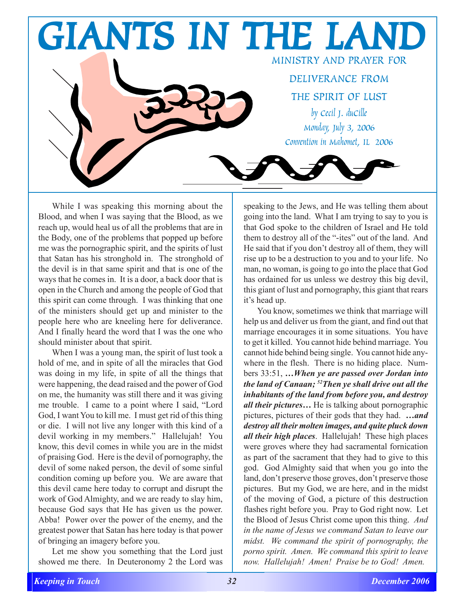

While I was speaking this morning about the Blood, and when I was saying that the Blood, as we reach up, would heal us of all the problems that are in the Body, one of the problems that popped up before me was the pornographic spirit, and the spirits of lust that Satan has his stronghold in. The stronghold of the devil is in that same spirit and that is one of the ways that he comes in. It is a door, a back door that is open in the Church and among the people of God that this spirit can come through. I was thinking that one of the ministers should get up and minister to the people here who are kneeling here for deliverance. And I finally heard the word that I was the one who should minister about that spirit.

When I was a young man, the spirit of lust took a hold of me, and in spite of all the miracles that God was doing in my life, in spite of all the things that were happening, the dead raised and the power of God on me, the humanity was still there and it was giving me trouble. I came to a point where I said, "Lord God, I want You to kill me. I must get rid of this thing or die. I will not live any longer with this kind of a devil working in my members." Hallelujah! You know, this devil comes in while you are in the midst of praising God. Here is the devil of pornography, the devil of some naked person, the devil of some sinful condition coming up before you. We are aware that this devil came here today to corrupt and disrupt the work of God Almighty, and we are ready to slay him, because God says that He has given us the power. Abba! Power over the power of the enemy, and the greatest power that Satan has here today is that power of bringing an imagery before you.

Let me show you something that the Lord just showed me there. In Deuteronomy 2 the Lord was speaking to the Jews, and He was telling them about going into the land. What I am trying to say to you is that God spoke to the children of Israel and He told them to destroy all of the "-ites" out of the land. And He said that if you don't destroy all of them, they will rise up to be a destruction to you and to your life. No man, no woman, is going to go into the place that God has ordained for us unless we destroy this big devil, this giant of lust and pornography, this giant that rears it's head up.

You know, sometimes we think that marriage will help us and deliver us from the giant, and find out that marriage encourages it in some situations. You have to get it killed. You cannot hide behind marriage. You cannot hide behind being single. You cannot hide anywhere in the flesh. There is no hiding place. Numbers 33:51, *…When ye are passed over Jordan into the land of Canaan; 52Then ye shall drive out all the inhabitants of the land from before you, and destroy all their pictures…* He is talking about pornographic pictures, pictures of their gods that they had. *…and destroy all their molten images, and quite pluck down all their high places*. Hallelujah! These high places were groves where they had sacramental fornication as part of the sacrament that they had to give to this god. God Almighty said that when you go into the land, don't preserve those groves, don't preserve those pictures. But my God, we are here, and in the midst of the moving of God, a picture of this destruction flashes right before you. Pray to God right now. Let the Blood of Jesus Christ come upon this thing. *And in the name of Jesus we command Satan to leave our midst. We command the spirit of pornography, the porno spirit. Amen. We command this spirit to leave now. Hallelujah! Amen! Praise be to God! Amen.*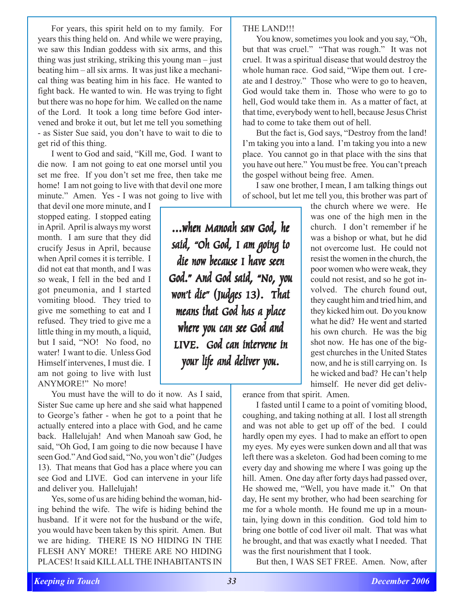For years, this spirit held on to my family. For years this thing held on. And while we were praying, we saw this Indian goddess with six arms, and this thing was just striking, striking this young man – just beating him – all six arms. It was just like a mechanical thing was beating him in his face. He wanted to fight back. He wanted to win. He was trying to fight but there was no hope for him. We called on the name of the Lord. It took a long time before God intervened and broke it out, but let me tell you something - as Sister Sue said, you don't have to wait to die to get rid of this thing.

I went to God and said, "Kill me, God. I want to die now. I am not going to eat one morsel until you set me free. If you don't set me free, then take me home! I am not going to live with that devil one more minute." Amen. Yes - I was not going to live with

that devil one more minute, and I stopped eating. I stopped eating in April. April is always my worst month. I am sure that they did crucify Jesus in April, because when April comes it is terrible. I did not eat that month, and I was so weak, I fell in the bed and I got pneumonia, and I started vomiting blood. They tried to give me something to eat and I refused. They tried to give me a little thing in my mouth, a liquid, but I said, "NO! No food, no water! I want to die. Unless God Himself intervenes, I must die. I am not going to live with lust ANYMORE!" No more!

You must have the will to do it now. As I said, Sister Sue came up here and she said what happened to George's father - when he got to a point that he actually entered into a place with God, and he came back. Hallelujah! And when Manoah saw God, he said, "Oh God, I am going to die now because I have seen God." And God said, "No, you won't die" (Judges 13). That means that God has a place where you can see God and LIVE. God can intervene in your life and deliver you. Hallelujah!

Yes, some of us are hiding behind the woman, hiding behind the wife. The wife is hiding behind the husband. If it were not for the husband or the wife, you would have been taken by this spirit. Amen. But we are hiding. THERE IS NO HIDING IN THE FLESH ANY MORE! THERE ARE NO HIDING PLACES! It said KILL ALL THE INHABITANTS IN

*...when Manoah saw God, he ...when Manoah saw God, he ...when Manoah saw God, he said, "Oh God, I am going to "Oh God, I going said, "Oh God, am going to die now because I have seen* God." And God said, "No, you *won't die" (Judges 13). That won't (Judges 13). won't die" (Judges means that God has a place means that has placemeans that God a where you can see God and* LIVE. God can intervene in *your life and deliver you.* 

THE LAND!!!

You know, sometimes you look and you say, "Oh, but that was cruel." "That was rough." It was not cruel. It was a spiritual disease that would destroy the whole human race. God said, "Wipe them out. I create and I destroy." Those who were to go to heaven, God would take them in. Those who were to go to hell, God would take them in. As a matter of fact, at that time, everybody went to hell, because Jesus Christ had to come to take them out of hell.

But the fact is, God says, "Destroy from the land! I'm taking you into a land. I'm taking you into a new place. You cannot go in that place with the sins that you have out here." You must be free. You can't preach the gospel without being free. Amen.

I saw one brother, I mean, I am talking things out of school, but let me tell you, this brother was part of

the church where we were. He was one of the high men in the church. I don't remember if he was a bishop or what, but he did not overcome lust. He could not resist the women in the church, the poor women who were weak, they could not resist, and so he got involved. The church found out, they caught him and tried him, and they kicked him out. Do you know what he did? He went and started his own church. He was the big shot now. He has one of the biggest churches in the United States now, and he is still carrying on. Is he wicked and bad? He can't help himself. He never did get deliv-

erance from that spirit. Amen.

I fasted until I came to a point of vomiting blood, coughing, and taking nothing at all. I lost all strength and was not able to get up off of the bed. I could hardly open my eyes. I had to make an effort to open my eyes. My eyes were sunken down and all that was left there was a skeleton. God had been coming to me every day and showing me where I was going up the hill. Amen. One day after forty days had passed over, He showed me, "Well, you have made it." On that day, He sent my brother, who had been searching for me for a whole month. He found me up in a mountain, lying down in this condition. God told him to bring one bottle of cod liver oil malt. That was what he brought, and that was exactly what I needed. That was the first nourishment that I took.

But then, I WAS SET FREE. Amen. Now, after